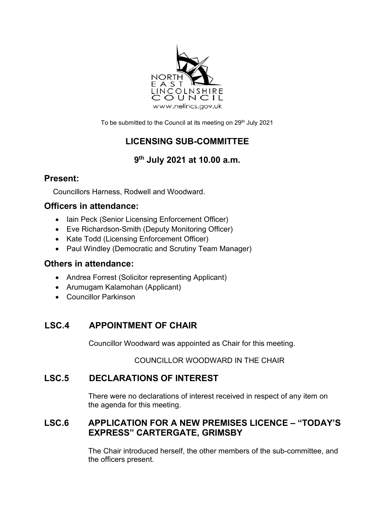

To be submitted to the Council at its meeting on 29<sup>th</sup> July 2021

# **LICENSING SUB-COMMITTEE**

# **9th July 2021 at 10.00 a.m.**

#### **Present:**

Councillors Harness, Rodwell and Woodward.

#### **Officers in attendance:**

- Iain Peck (Senior Licensing Enforcement Officer)
- Eve Richardson-Smith (Deputy Monitoring Officer)
- Kate Todd (Licensing Enforcement Officer)
- Paul Windley (Democratic and Scrutiny Team Manager)

#### **Others in attendance:**

- Andrea Forrest (Solicitor representing Applicant)
- Arumugam Kalamohan (Applicant)
- Councillor Parkinson

## **LSC.4 APPOINTMENT OF CHAIR**

Councillor Woodward was appointed as Chair for this meeting.

COUNCILLOR WOODWARD IN THE CHAIR

## **LSC.5 DECLARATIONS OF INTEREST**

There were no declarations of interest received in respect of any item on the agenda for this meeting.

#### **LSC.6 APPLICATION FOR A NEW PREMISES LICENCE – "TODAY'S EXPRESS" CARTERGATE, GRIMSBY**

The Chair introduced herself, the other members of the sub-committee, and the officers present.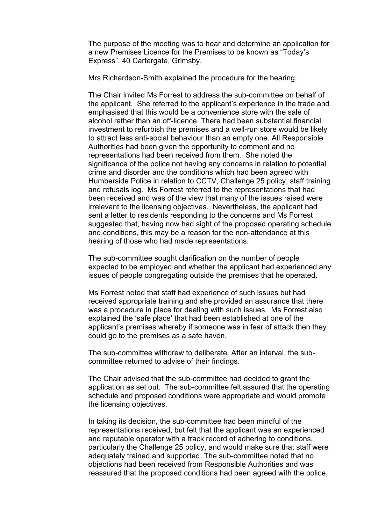The purpose of the meeting was to hear and determine an application for a new Premises Licence for the Premises to be known as "Today's Express", 40 Cartergate, Grimsby.

Mrs Richardson-Smith explained the procedure for the hearing.

The Chair invited Ms Forrest to address the sub-committee on behalf of the applicant. She referred to the applicant's experience in the trade and emphasised that this would be a convenience store with the sale of alcohol rather than an off-licence. There had been substantial financial investment to refurbish the premises and a well-run store would be likely to attract less anti-social behaviour than an empty one. All Responsible Authorities had been given the opportunity to comment and no representations had been received from them. She noted the significance of the police not having any concerns in relation to potential crime and disorder and the conditions which had been agreed with Humberside Police in relation to CCTV, Challenge 25 policy, staff training and refusals log. Ms Forrest referred to the representations that had been received and was of the view that many of the issues raised were irrelevant to the licensing objectives. Nevertheless, the applicant had sent a letter to residents responding to the concerns and Ms Forrest suggested that, having now had sight of the proposed operating schedule and conditions, this may be a reason for the non-attendance at this hearing of those who had made representations.

The sub-committee sought clarification on the number of people expected to be employed and whether the applicant had experienced any issues of people congregating outside the premises that he operated.

Ms Forrest noted that staff had experience of such issues but had received appropriate training and she provided an assurance that there was a procedure in place for dealing with such issues. Ms Forrest also explained the 'safe place' that had been established at one of the applicant's premises whereby if someone was in fear of attack then they could go to the premises as a safe haven.

The sub-committee withdrew to deliberate. After an interval, the subcommittee returned to advise of their findings.

The Chair advised that the sub-committee had decided to grant the application as set out. The sub-committee felt assured that the operating schedule and proposed conditions were appropriate and would promote the licensing objectives.

In taking its decision, the sub-committee had been mindful of the representations received, but felt that the applicant was an experienced and reputable operator with a track record of adhering to conditions, particularly the Challenge 25 policy, and would make sure that staff were adequately trained and supported. The sub-committee noted that no objections had been received from Responsible Authorities and was reassured that the proposed conditions had been agreed with the police,